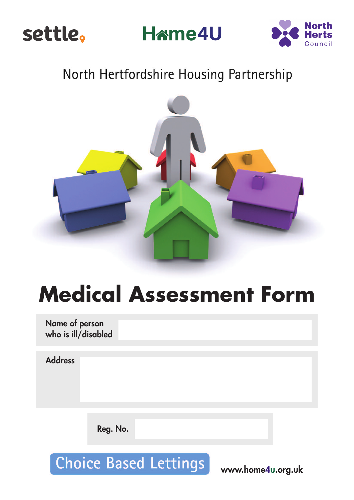

**Hame4U** 



# North Hertfordshire Housing Partnership



# **Medical Assessment Form**

**Name of person who is ill/disabled**

**Address**

**Reg. No.**

**Choice Based Lettings** 

**www.home4u.org.uk**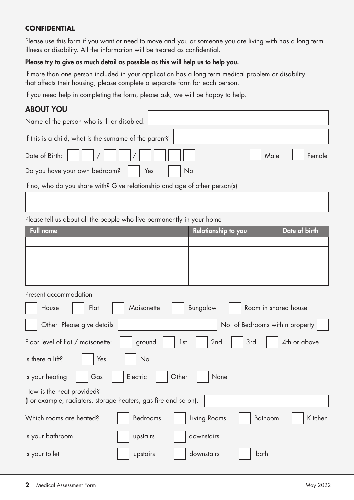#### **CONFIDENTIAL**

Please use this form if you want or need to move and you or someone you are living with has a long term illness or disability. All the information will be treated as confidential.

#### **Please try to give as much detail as possible as this will help us to help you.**

If more than one person included in your application has a long term medical problem or disability that affects their housing, please complete a separate form for each person.

If you need help in completing the form, please ask, we will be happy to help.

#### **ABOUT YOU**

| Name of the person who is ill or disabled:                                 |
|----------------------------------------------------------------------------|
| If this is a child, what is the surname of the parent?                     |
| Date of Birth:<br>Male<br>Female                                           |
| Do you have your own bedroom?<br>Yes<br>No                                 |
| If no, who do you share with? Give relationship and age of other person(s) |
|                                                                            |
| Please tell us about all the people who live permanently in your home      |
| <b>Full name</b><br>Date of birth<br><b>Relationship to you</b>            |
|                                                                            |
|                                                                            |
|                                                                            |

Present accommodation

| Flat<br>House                                                                               | Maisonette | Bungalow               | Room in shared house            |              |
|---------------------------------------------------------------------------------------------|------------|------------------------|---------------------------------|--------------|
| Other Please give details                                                                   |            |                        | No. of Bedrooms within property |              |
| Floor level of flat / maisonette:                                                           | ground     | 2 <sub>nd</sub><br>1st | 3rd                             | 4th or above |
| Is there a lift?<br>Yes                                                                     | <b>No</b>  |                        |                                 |              |
| Is your heating<br>Gas                                                                      | Electric   | Other<br>None          |                                 |              |
| How is the heat provided?<br>(For example, radiators, storage heaters, gas fire and so on). |            |                        |                                 |              |
| Which rooms are heated?                                                                     | Bedrooms   | Living Rooms           | <b>Bathoom</b>                  | Kitchen      |
| Is your bathroom                                                                            | upstairs   | downstairs             |                                 |              |
| Is your toilet                                                                              | upstairs   | downstairs             | both                            |              |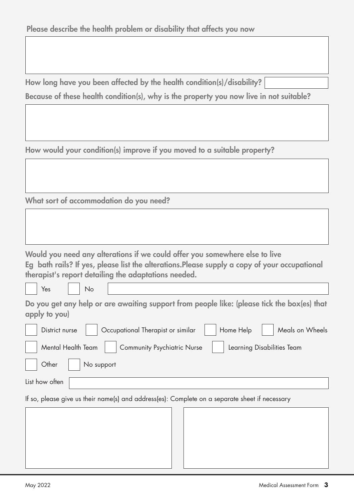| How long have you been affected by the health condition(s)/disability?                  |  |
|-----------------------------------------------------------------------------------------|--|
| Because of these health condition(s), why is the property you now live in not suitable? |  |

**How would your condition(s) improve if you moved to a suitable property?**

**What sort of accommodation do you need?**

| Would you need any alterations if we could offer you somewhere else to live                   |
|-----------------------------------------------------------------------------------------------|
| Eg bath rails? If yes, please list the alterations. Please supply a copy of your occupational |
| therapist's report detailing the adaptations needed.                                          |

Yes | No

**Do you get any help or are awaiting support from people like: (please tick the box(es) that apply to you)**

| District nurse     | Occupational Therapist or similar  | Home Help | Meals on Wheels            |
|--------------------|------------------------------------|-----------|----------------------------|
| Mental Health Team | <b>Community Psychiatric Nurse</b> |           | Learning Disabilities Team |
| Other              | No support                         |           |                            |

List how often

If so, please give us their name(s) and address(es): Complete on a separate sheet if necessary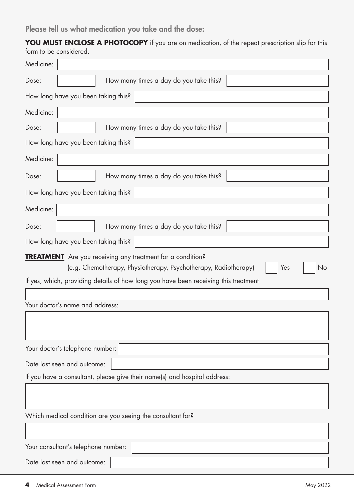**Please tell us what medication you take and the dose:**

**YOU MUST ENCLOSE A PHOTOCOPY** if you are on medication, of the repeat prescription slip for this form to be considered.

| Medicine:                                                                           |                  |
|-------------------------------------------------------------------------------------|------------------|
|                                                                                     |                  |
| How many times a day do you take this?<br>Dose:                                     |                  |
| How long have you been taking this?                                                 |                  |
| Medicine:                                                                           |                  |
| How many times a day do you take this?<br>Dose:                                     |                  |
| How long have you been taking this?                                                 |                  |
| Medicine:                                                                           |                  |
| How many times a day do you take this?<br>Dose:                                     |                  |
| How long have you been taking this?                                                 |                  |
| Medicine:                                                                           |                  |
| How many times a day do you take this?<br>Dose:                                     |                  |
| How long have you been taking this?                                                 |                  |
| <b>TREATMENT</b> Are you receiving any treatment for a condition?                   |                  |
| (e.g. Chemotherapy, Physiotherapy, Psychotherapy, Radiotherapy)                     | <b>No</b><br>Yes |
| If yes, which, providing details of how long you have been receiving this treatment |                  |
|                                                                                     |                  |
| Your doctor's name and address:                                                     |                  |
|                                                                                     |                  |
|                                                                                     |                  |
| Your doctor's telephone number:                                                     |                  |
| Date last seen and outcome:                                                         |                  |
| If you have a consultant, please give their name(s) and hospital address:           |                  |
|                                                                                     |                  |
|                                                                                     |                  |
| Which medical condition are you seeing the consultant for?                          |                  |
|                                                                                     |                  |
|                                                                                     |                  |
| Your consultant's telephone number:                                                 |                  |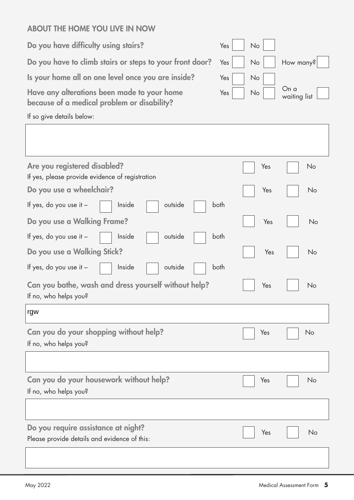## **ABOUT THE HOME YOU LIVE IN NOW**

**Do you have difficulty using stairs?** 

Do you have to climb stairs or steps to your front door?

Is your home all on one level once you are inside?

Have any alterations been made to your home **because of a medical problem or disability?**

| Yes | No |                                      |
|-----|----|--------------------------------------|
| Yes |    | $\vert$ No $\vert$ How many? $\vert$ |
| Yes | No |                                      |
| Yes | No | On a<br>waiting list $\Box$          |

If so give details below:

| Are you registered disabled?<br>If yes, please provide evidence of registration | Yes | No |
|---------------------------------------------------------------------------------|-----|----|
| Do you use a wheelchair?                                                        | Yes | No |
| If yes, do you use it -<br>outside<br>both<br>Inside                            |     |    |
| Do you use a Walking Frame?                                                     | Yes | No |
| If yes, do you use it -<br>outside<br>both<br>Inside                            |     |    |
| Do you use a Walking Stick?                                                     | Yes | No |
| If yes, do you use it -<br>Inside<br>outside<br>both                            |     |    |
| Can you bathe, wash and dress yourself without help?                            | Yes | No |
| If no, who helps you?                                                           |     |    |
| rgw                                                                             |     |    |
| Can you do your shopping without help?                                          | Yes | No |
| If no, who helps you?                                                           |     |    |
|                                                                                 |     |    |
| Can you do your housework without help?                                         | Yes | No |
| If no, who helps you?                                                           |     |    |
|                                                                                 |     |    |
| Do you require assistance at night?                                             | Yes | No |
| Please provide details and evidence of this:                                    |     |    |
|                                                                                 |     |    |
|                                                                                 |     |    |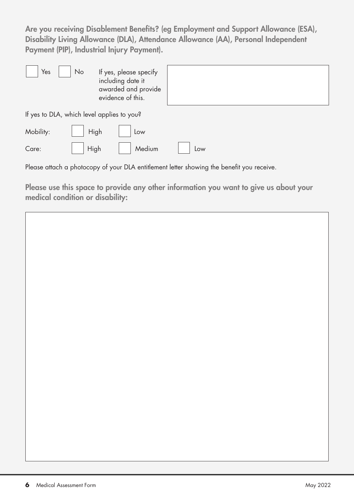**Are you receiving Disablement Benefits? (eg Employment and Support Allowance (ESA), Disability Living Allowance (DLA), Attendance Allowance (AA), Personal Independent Payment (PIP), Industrial Injury Payment).**

| Yes                                        | No   | If yes, please specify<br>including date it<br>awarded and provide<br>evidence of this. |        |     |  |  |  |
|--------------------------------------------|------|-----------------------------------------------------------------------------------------|--------|-----|--|--|--|
| If yes to DLA, which level applies to you? |      |                                                                                         |        |     |  |  |  |
| Mobility:                                  | High |                                                                                         | Low    |     |  |  |  |
| Care:                                      | High |                                                                                         | Medium | Low |  |  |  |

Please attach a photocopy of your DLA entitlement letter showing the benefit you receive.

**Please use this space to provide any other information you want to give us about your medical condition or disability:**

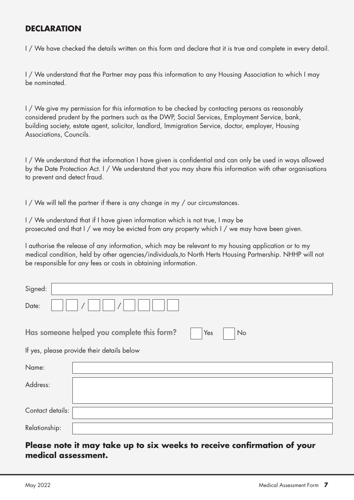## **DECLARATION**

I / We have checked the details written on this form and declare that it is true and complete in every detail.

I / We understand that the Partner may pass this information to any Housing Association to which I may be nominated.

I / We give my permission for this information to be checked by contacting persons as reasonably considered prudent by the partners such as the DWP, Social Services, Employment Service, bank, building society, estate agent, solicitor, landlord, Immigration Service, doctor, employer, Housing Associations, Councils.

I / We understand that the information I have given is confidential and can only be used in ways allowed by the Date Protection Act. I / We understand that you may share this information with other organisations to prevent and detect fraud.

I / We will tell the partner if there is any change in my / our circumstances.

I / We understand that if I have given information which is not true, I may be prosecuted and that I / we may be evicted from any property which I / we may have been given.

I authorise the release of any information, which may be relevant to my housing application or to my medical condition, held by other agencies/individuals,to North Herts Housing Partnership. NHHP will not be responsible for any fees or costs in obtaining information.

| Signed:          |                                                         |
|------------------|---------------------------------------------------------|
| Date:            |                                                         |
|                  | Has someone helped you complete this form?<br>Yes<br>No |
|                  | If yes, please provide their details below              |
| Name:            |                                                         |
| Address:         |                                                         |
|                  |                                                         |
| Contact details: |                                                         |
| Relationship:    |                                                         |

#### **Please note it may take up to six weeks to receive confirmation of your medical assessment.**